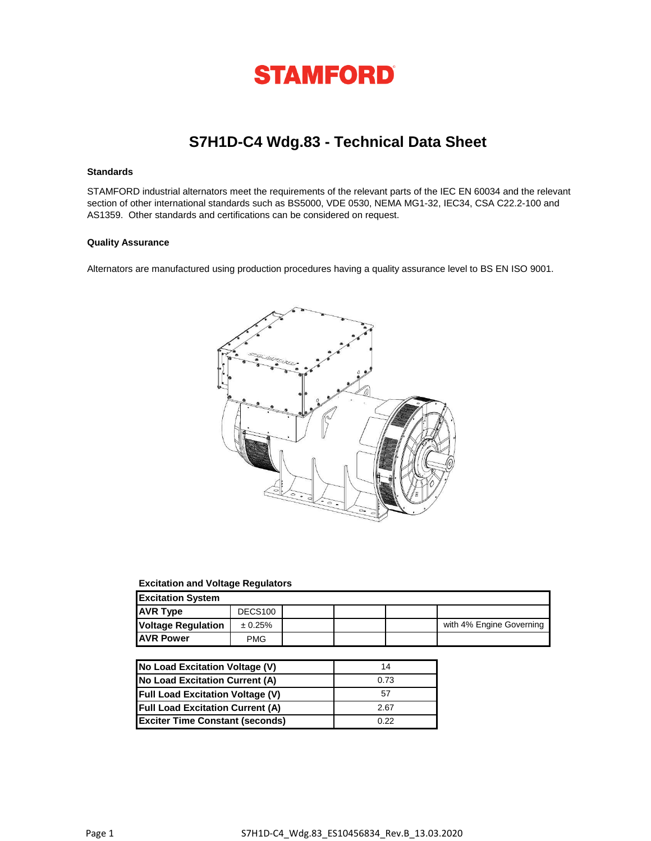

# **S7H1D-C4 Wdg.83 - Technical Data Sheet**

### **Standards**

STAMFORD industrial alternators meet the requirements of the relevant parts of the IEC EN 60034 and the relevant section of other international standards such as BS5000, VDE 0530, NEMA MG1-32, IEC34, CSA C22.2-100 and AS1359. Other standards and certifications can be considered on request.

## **Quality Assurance**

Alternators are manufactured using production procedures having a quality assurance level to BS EN ISO 9001.



#### **Excitation and Voltage Regulators**

| <b>Excitation System</b>  |                     |  |  |  |                          |  |
|---------------------------|---------------------|--|--|--|--------------------------|--|
| <b>AVR Type</b>           | DECS <sub>100</sub> |  |  |  |                          |  |
| <b>Voltage Regulation</b> | ± 0.25%             |  |  |  | with 4% Engine Governing |  |
| <b>JAVR Power</b>         | <b>PMG</b>          |  |  |  |                          |  |

| <b>No Load Excitation Voltage (V)</b>   | 14   |
|-----------------------------------------|------|
| No Load Excitation Current (A)          | 0.73 |
| <b>Full Load Excitation Voltage (V)</b> | 57   |
| <b>Full Load Excitation Current (A)</b> | 2.67 |
| <b>Exciter Time Constant (seconds)</b>  | 0.22 |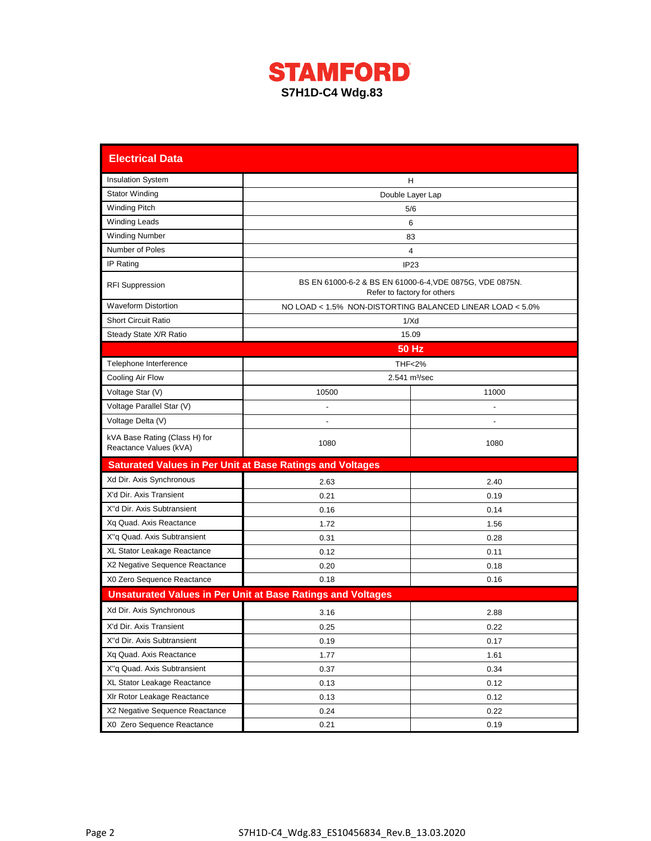

| <b>Electrical Data</b>                                  |                                                                    |                                                                                         |  |  |  |  |  |  |
|---------------------------------------------------------|--------------------------------------------------------------------|-----------------------------------------------------------------------------------------|--|--|--|--|--|--|
| <b>Insulation System</b>                                |                                                                    | н                                                                                       |  |  |  |  |  |  |
| <b>Stator Winding</b>                                   | Double Layer Lap                                                   |                                                                                         |  |  |  |  |  |  |
| <b>Winding Pitch</b>                                    |                                                                    | 5/6                                                                                     |  |  |  |  |  |  |
| <b>Winding Leads</b>                                    |                                                                    | 6                                                                                       |  |  |  |  |  |  |
| <b>Winding Number</b>                                   |                                                                    | 83                                                                                      |  |  |  |  |  |  |
| Number of Poles                                         |                                                                    | 4                                                                                       |  |  |  |  |  |  |
| IP Rating                                               |                                                                    | IP <sub>23</sub>                                                                        |  |  |  |  |  |  |
| <b>RFI Suppression</b>                                  |                                                                    | BS EN 61000-6-2 & BS EN 61000-6-4, VDE 0875G, VDE 0875N.<br>Refer to factory for others |  |  |  |  |  |  |
| <b>Waveform Distortion</b>                              |                                                                    | NO LOAD < 1.5% NON-DISTORTING BALANCED LINEAR LOAD < 5.0%                               |  |  |  |  |  |  |
| <b>Short Circuit Ratio</b>                              |                                                                    | 1/Xd                                                                                    |  |  |  |  |  |  |
| Steady State X/R Ratio                                  |                                                                    | 15.09                                                                                   |  |  |  |  |  |  |
|                                                         |                                                                    | <b>50 Hz</b>                                                                            |  |  |  |  |  |  |
| Telephone Interference                                  |                                                                    | <b>THF&lt;2%</b>                                                                        |  |  |  |  |  |  |
| Cooling Air Flow                                        |                                                                    | $2.541$ m <sup>3</sup> /sec                                                             |  |  |  |  |  |  |
| Voltage Star (V)                                        | 10500                                                              | 11000                                                                                   |  |  |  |  |  |  |
| Voltage Parallel Star (V)                               |                                                                    |                                                                                         |  |  |  |  |  |  |
| Voltage Delta (V)                                       |                                                                    |                                                                                         |  |  |  |  |  |  |
| kVA Base Rating (Class H) for<br>Reactance Values (kVA) | 1080                                                               | 1080                                                                                    |  |  |  |  |  |  |
|                                                         | <b>Saturated Values in Per Unit at Base Ratings and Voltages</b>   |                                                                                         |  |  |  |  |  |  |
| Xd Dir. Axis Synchronous                                | 2.63                                                               | 2.40                                                                                    |  |  |  |  |  |  |
| X'd Dir. Axis Transient                                 | 0.21                                                               | 0.19                                                                                    |  |  |  |  |  |  |
| X"d Dir. Axis Subtransient                              | 0.16                                                               | 0.14                                                                                    |  |  |  |  |  |  |
| Xq Quad. Axis Reactance                                 | 1.72                                                               | 1.56                                                                                    |  |  |  |  |  |  |
| X"q Quad. Axis Subtransient                             | 0.31                                                               | 0.28                                                                                    |  |  |  |  |  |  |
| XL Stator Leakage Reactance                             | 0.12                                                               | 0.11                                                                                    |  |  |  |  |  |  |
| X2 Negative Sequence Reactance                          | 0.20                                                               | 0.18                                                                                    |  |  |  |  |  |  |
| X0 Zero Sequence Reactance                              | 0.18                                                               | 0.16                                                                                    |  |  |  |  |  |  |
|                                                         | <b>Unsaturated Values in Per Unit at Base Ratings and Voltages</b> |                                                                                         |  |  |  |  |  |  |
| Xd Dir. Axis Synchronous                                | 3.16                                                               | 2.88                                                                                    |  |  |  |  |  |  |
| X'd Dir. Axis Transient                                 | 0.25                                                               | 0.22                                                                                    |  |  |  |  |  |  |
| X"d Dir. Axis Subtransient                              | 0.19                                                               | 0.17                                                                                    |  |  |  |  |  |  |
| Xq Quad. Axis Reactance                                 | 1.77                                                               | 1.61                                                                                    |  |  |  |  |  |  |
| X"q Quad. Axis Subtransient                             | 0.37                                                               | 0.34                                                                                    |  |  |  |  |  |  |
| XL Stator Leakage Reactance                             | 0.13                                                               | 0.12                                                                                    |  |  |  |  |  |  |
| XIr Rotor Leakage Reactance                             | 0.13                                                               | 0.12                                                                                    |  |  |  |  |  |  |
| X2 Negative Sequence Reactance                          | 0.24                                                               | 0.22                                                                                    |  |  |  |  |  |  |
| X0 Zero Sequence Reactance                              | 0.21                                                               | 0.19                                                                                    |  |  |  |  |  |  |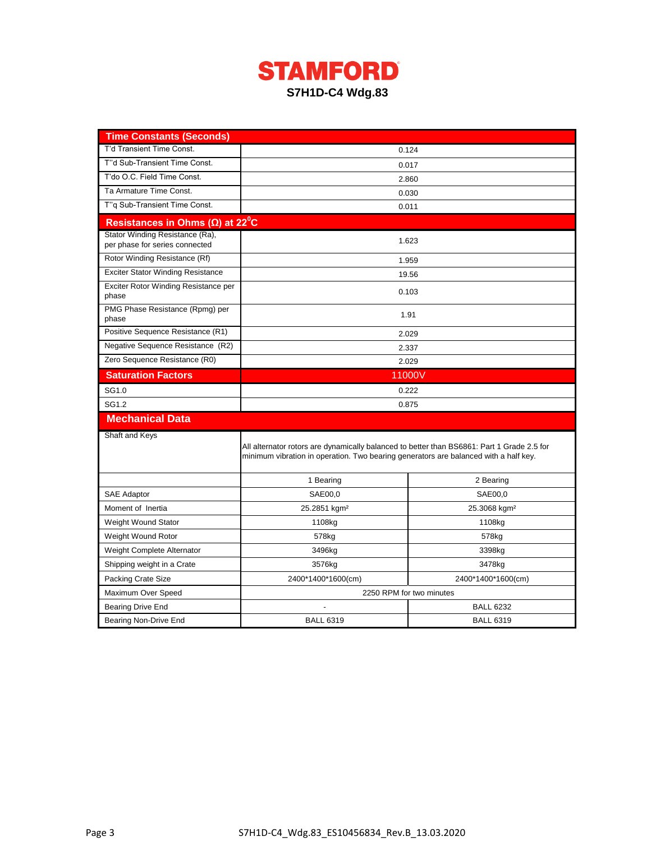

| <b>Time Constants (Seconds)</b>                                   |                                                                                                                                                                                    |                          |  |  |  |
|-------------------------------------------------------------------|------------------------------------------------------------------------------------------------------------------------------------------------------------------------------------|--------------------------|--|--|--|
| T'd Transient Time Const.                                         |                                                                                                                                                                                    | 0.124                    |  |  |  |
| T"d Sub-Transient Time Const.                                     |                                                                                                                                                                                    | 0.017                    |  |  |  |
| T'do O.C. Field Time Const.                                       |                                                                                                                                                                                    | 2.860                    |  |  |  |
| Ta Armature Time Const.                                           | 0.030                                                                                                                                                                              |                          |  |  |  |
| T"q Sub-Transient Time Const.                                     | 0.011                                                                                                                                                                              |                          |  |  |  |
| Resistances in Ohms $(\Omega)$ at 22 <sup>°</sup> C               |                                                                                                                                                                                    |                          |  |  |  |
| Stator Winding Resistance (Ra),<br>per phase for series connected |                                                                                                                                                                                    | 1.623                    |  |  |  |
| Rotor Winding Resistance (Rf)                                     |                                                                                                                                                                                    | 1.959                    |  |  |  |
| <b>Exciter Stator Winding Resistance</b>                          |                                                                                                                                                                                    | 19.56                    |  |  |  |
| Exciter Rotor Winding Resistance per<br>phase                     |                                                                                                                                                                                    | 0.103                    |  |  |  |
| PMG Phase Resistance (Rpmg) per<br>phase                          |                                                                                                                                                                                    | 1.91                     |  |  |  |
| Positive Sequence Resistance (R1)                                 |                                                                                                                                                                                    | 2.029                    |  |  |  |
| Negative Sequence Resistance (R2)                                 |                                                                                                                                                                                    | 2.337                    |  |  |  |
| Zero Sequence Resistance (R0)                                     |                                                                                                                                                                                    | 2.029                    |  |  |  |
| <b>Saturation Factors</b>                                         | 11000V                                                                                                                                                                             |                          |  |  |  |
| SG1.0                                                             | 0.222                                                                                                                                                                              |                          |  |  |  |
| SG1.2                                                             | 0.875                                                                                                                                                                              |                          |  |  |  |
| <b>Mechanical Data</b>                                            |                                                                                                                                                                                    |                          |  |  |  |
| Shaft and Keys                                                    |                                                                                                                                                                                    |                          |  |  |  |
|                                                                   | All alternator rotors are dynamically balanced to better than BS6861: Part 1 Grade 2.5 for<br>minimum vibration in operation. Two bearing generators are balanced with a half key. |                          |  |  |  |
|                                                                   | 1 Bearing                                                                                                                                                                          | 2 Bearing                |  |  |  |
| <b>SAE Adaptor</b>                                                | SAE00,0                                                                                                                                                                            | SAE00,0                  |  |  |  |
| Moment of Inertia                                                 | 25.2851 kgm <sup>2</sup>                                                                                                                                                           | 25.3068 kgm <sup>2</sup> |  |  |  |
| Weight Wound Stator                                               | 1108kg                                                                                                                                                                             | 1108kg                   |  |  |  |
| Weight Wound Rotor                                                | 578 <sub>kg</sub>                                                                                                                                                                  | 578kg                    |  |  |  |
| Weight Complete Alternator                                        | 3496kg                                                                                                                                                                             | 3398kg                   |  |  |  |
| Shipping weight in a Crate                                        | 3576kg                                                                                                                                                                             | 3478kg                   |  |  |  |
| Packing Crate Size                                                | 2400*1400*1600(cm)                                                                                                                                                                 | 2400*1400*1600(cm)       |  |  |  |
| Maximum Over Speed                                                | 2250 RPM for two minutes                                                                                                                                                           |                          |  |  |  |
| Bearing Drive End                                                 |                                                                                                                                                                                    | <b>BALL 6232</b>         |  |  |  |
| Bearing Non-Drive End                                             | <b>BALL 6319</b>                                                                                                                                                                   | <b>BALL 6319</b>         |  |  |  |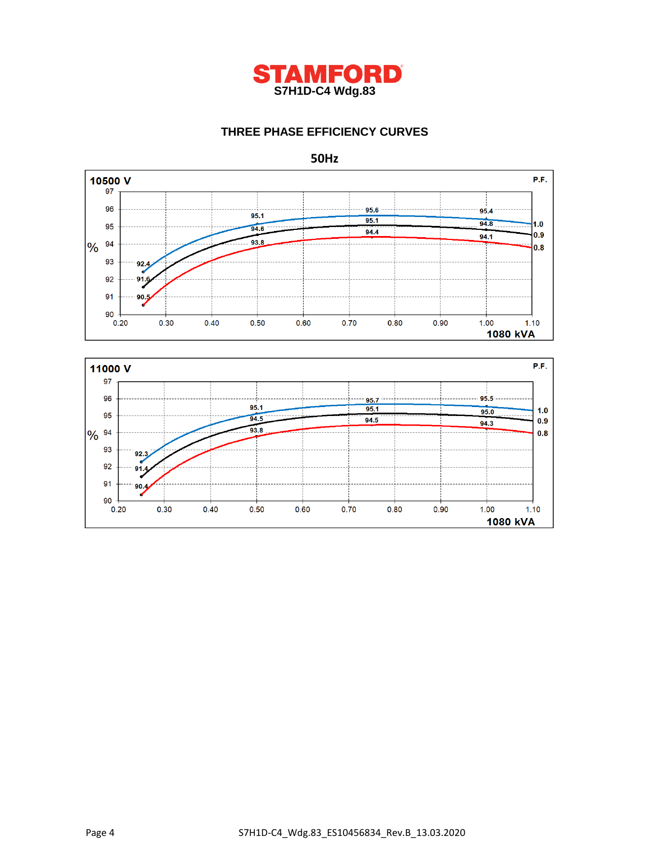

# **THREE PHASE EFFICIENCY CURVES**





**50Hz**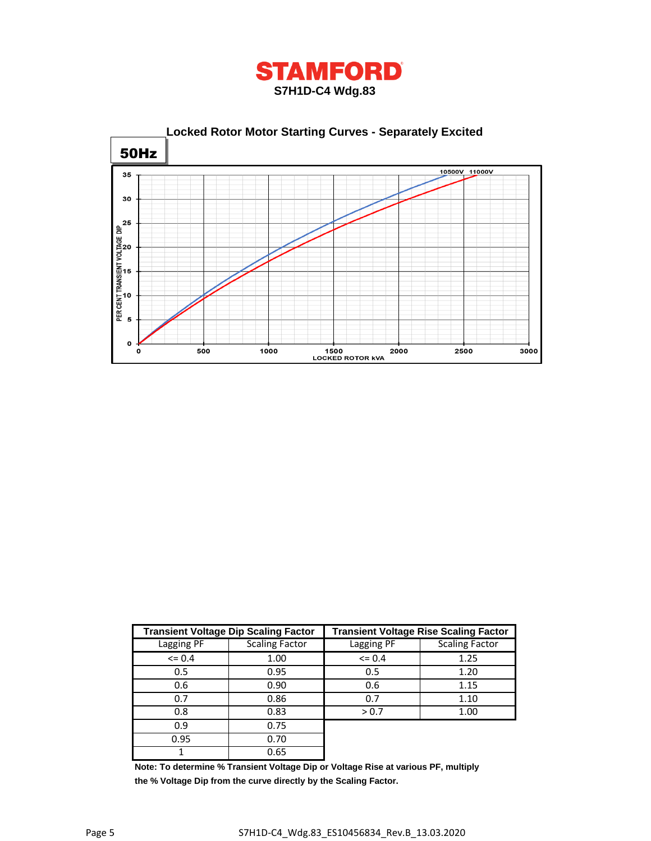



|            | <b>Transient Voltage Dip Scaling Factor</b> | <b>Transient Voltage Rise Scaling Factor</b> |                       |  |  |
|------------|---------------------------------------------|----------------------------------------------|-----------------------|--|--|
| Lagging PF | <b>Scaling Factor</b>                       | Lagging PF                                   | <b>Scaling Factor</b> |  |  |
| $\leq$ 0.4 | 1.00                                        | $\leq 0.4$                                   | 1.25                  |  |  |
| 0.5        | 0.95                                        | 0.5                                          | 1.20                  |  |  |
| 0.6        | 0.90                                        | 0.6                                          | 1.15                  |  |  |
| 0.7        | 0.86                                        | 0.7                                          | 1.10                  |  |  |
| 0.8        | 0.83                                        | > 0.7                                        | 1.00                  |  |  |
| 0.9        | 0.75                                        |                                              |                       |  |  |
| 0.95       | 0.70                                        |                                              |                       |  |  |
|            | 0.65                                        |                                              |                       |  |  |

**Note: To determine % Transient Voltage Dip or Voltage Rise at various PF, multiply the % Voltage Dip from the curve directly by the Scaling Factor.**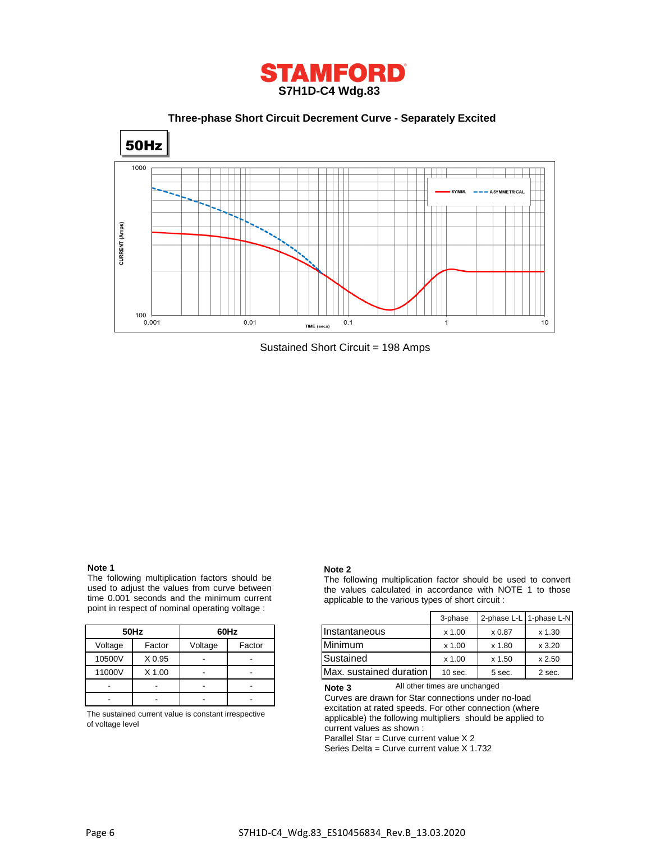

 **Three-phase Short Circuit Decrement Curve - Separately Excited**



Sustained Short Circuit = 198 Amps

#### **Note 1**

The following multiplication factors should be used to adjust the values from curve between time 0.001 seconds and the minimum current point in respect of nominal operating voltage :

|         | 50Hz     | 60Hz    |        |  |
|---------|----------|---------|--------|--|
| Voltage | Factor   | Voltage | Factor |  |
| 10500V  | X 0.95   |         |        |  |
| 11000V  | $X$ 1.00 |         |        |  |
|         |          |         |        |  |
|         |          |         |        |  |

The sustained current value is constant irrespective of voltage level

#### **Note 2**

The following multiplication factor should be used to convert the values calculated in accordance with NOTE 1 to those applicable to the various types of short circuit :

|         |        |         |        |                         | 3-phase   |        | 2-phase L-L 1-phase L-N |
|---------|--------|---------|--------|-------------------------|-----------|--------|-------------------------|
|         | 50Hz   |         | 60Hz   | Instantaneous           | $x$ 1.00  | x 0.87 | x 1.30                  |
| Voltage | Factor | Voltage | Factor | Minimum                 | $x$ 1.00  | x 1.80 | x3.20                   |
| 10500V  | X 0.95 |         |        | Sustained               | $x$ 1.00  | x 1.50 | x 2.50                  |
| 11000V  | X 1.00 |         |        | Max. sustained duration | $10$ sec. | 5 sec. | 2 sec.                  |

All other times are unchanged **Note 3**

Curves are drawn for Star connections under no-load excitation at rated speeds. For other connection (where applicable) the following multipliers should be applied to current values as shown :

Parallel Star = Curve current value X 2

Series Delta = Curve current value X 1.732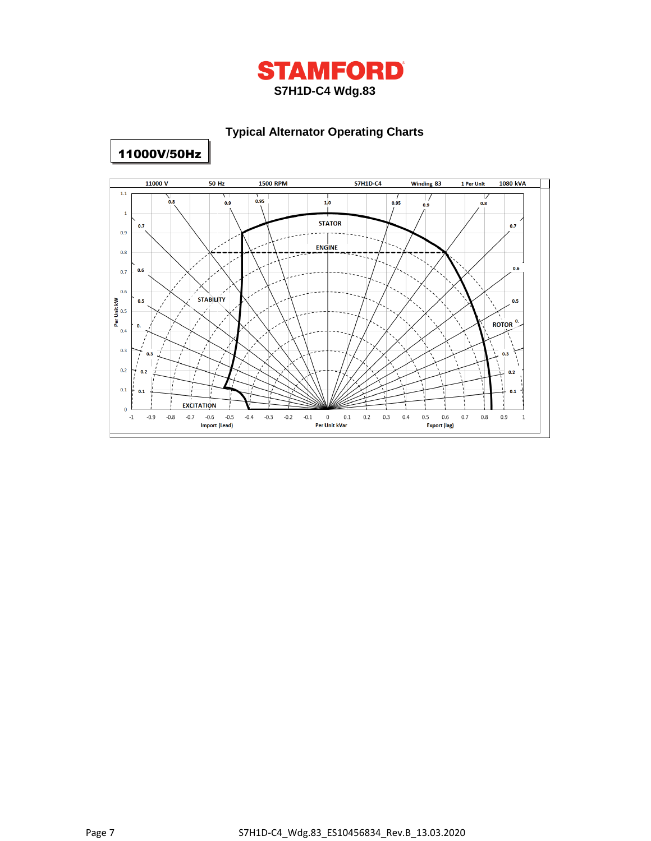

# **Typical Alternator Operating Charts**



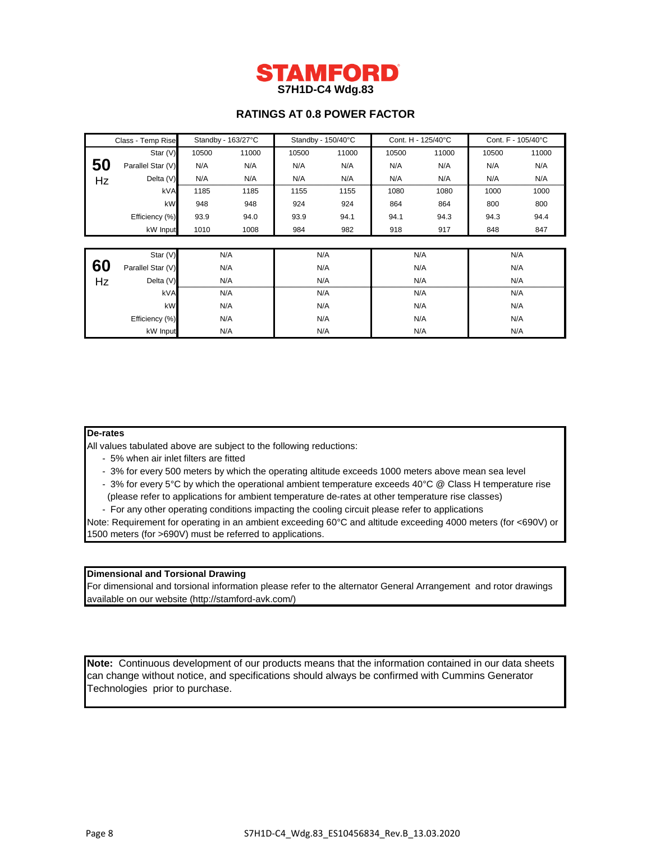

# **RATINGS AT 0.8 POWER FACTOR**

| Class - Temp Rise |                   | Standby - 163/27°C |       | Standby - 150/40°C |       | Cont. H - 125/40°C |       | Cont. F - 105/40°C |       |  |
|-------------------|-------------------|--------------------|-------|--------------------|-------|--------------------|-------|--------------------|-------|--|
|                   | Star (V)          | 10500              | 11000 | 10500              | 11000 | 10500              | 11000 | 10500              | 11000 |  |
| 50                | Parallel Star (V) | N/A                | N/A   | N/A                | N/A   | N/A                | N/A   | N/A                | N/A   |  |
| Hz                | Delta (V)         | N/A                | N/A   | N/A                | N/A   | N/A                | N/A   | N/A                | N/A   |  |
|                   | kVA               | 1185               | 1185  | 1155               | 1155  | 1080               | 1080  | 1000               | 1000  |  |
|                   | kW                | 948                | 948   | 924                | 924   | 864                | 864   | 800                | 800   |  |
|                   | Efficiency (%)    | 93.9               | 94.0  | 93.9               | 94.1  | 94.1               | 94.3  | 94.3               | 94.4  |  |
|                   | kW Input          | 1010               | 1008  | 984                | 982   | 918                | 917   | 848                | 847   |  |
|                   |                   |                    |       |                    |       |                    |       |                    |       |  |
|                   | Star (V)          |                    | N/A   |                    | N/A   | N/A                |       |                    | N/A   |  |
| 60                | Parallel Star (V) |                    | N/A   | N/A                |       |                    | N/A   |                    | N/A   |  |
| Hz                | Delta (V)         |                    | N/A   | N/A                |       | N/A                |       | N/A                |       |  |
|                   | kVA               |                    | N/A   | N/A                |       | N/A                |       | N/A                |       |  |
|                   | kW                |                    | N/A   | N/A                |       | N/A                |       | N/A                |       |  |
|                   | Efficiency (%)    |                    | N/A   | N/A                |       | N/A                |       | N/A                |       |  |
|                   | kW Input          |                    | N/A   |                    | N/A   | N/A                |       |                    | N/A   |  |

### **De-rates**

All values tabulated above are subject to the following reductions:

- 5% when air inlet filters are fitted
- 3% for every 500 meters by which the operating altitude exceeds 1000 meters above mean sea level
- 3% for every 5°C by which the operational ambient temperature exceeds 40°C @ Class H temperature rise (please refer to applications for ambient temperature de-rates at other temperature rise classes)
- For any other operating conditions impacting the cooling circuit please refer to applications

Note: Requirement for operating in an ambient exceeding 60°C and altitude exceeding 4000 meters (for <690V) or 1500 meters (for >690V) must be referred to applications.

# **Dimensional and Torsional Drawing**

For dimensional and torsional information please refer to the alternator General Arrangement and rotor drawings available on our website (http://stamford-avk.com/)

**Note:** Continuous development of our products means that the information contained in our data sheets can change without notice, and specifications should always be confirmed with Cummins Generator Technologies prior to purchase.